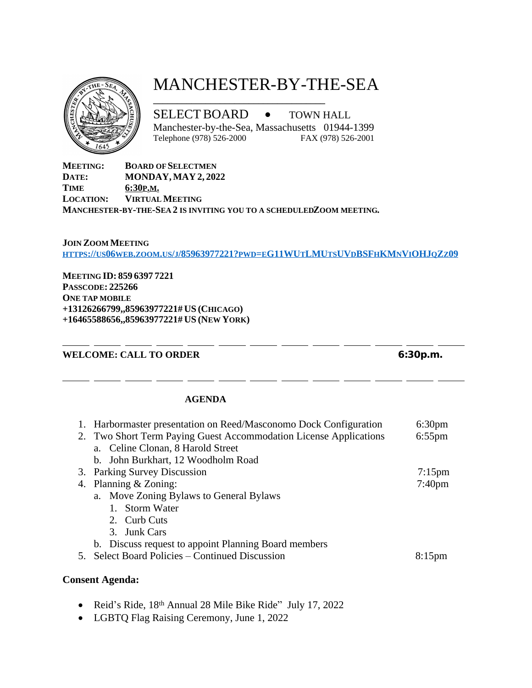

# MANCHESTER-BY-THE-SEA

SELECT BOARD · TOWN HALL

\_\_\_\_\_\_\_\_\_\_\_\_\_\_\_\_\_\_\_\_\_\_\_\_\_\_\_\_\_\_\_\_\_\_\_\_

Manchester-by-the-Sea, Massachusetts 01944-1399<br>Telephone (978) 526-2000 FAX (978) 526-2001

Telephone (978) 526-2000

**MEETING: BOARD OF SELECTMEN**<br>**DATE: MONDAY, MAY 2, 202 DATE: MONDAY, MAY 2, 2022 TIME 6:30P.M. LOCATION: VIRTUAL MEETING MANCHESTER-BY-THE-SEA 2 IS INVITING YOU TO A SCHEDULED ZOOM MEETING.**

#### **JOIN ZOOM MEETING** HTTPS://US06WEB.ZOOM.US/J[/85963977221?](https://us06web.zoom.us/j/85963977221?pwd=eG11WUtLMUtsUVdBSFhKMnViOHJqZz09)PWD=EG11WUTLMUTSUVDBSFHKMNVIOHJQZz09

**M[EETING](https://us06web.zoom.us/j/85963977221?pwd=eG11WUtLMUtsUVdBSFhKMnViOHJqZz09) ID: 859 6397 7221 P[ASSCODE](https://us06web.zoom.us/j/85963977221?pwd=eG11WUtLMUtsUVdBSFhKMnViOHJqZz09): 225266 O[NE TAP MOBILE](https://us06web.zoom.us/j/85963977221?pwd=eG11WUtLMUtsUVdBSFhKMnViOHJqZz09) [+13126266799,,85963977221#](https://us06web.zoom.us/j/85963977221?pwd=eG11WUtLMUtsUVdBSFhKMnViOHJqZz09) US (C[HICAGO](https://us06web.zoom.us/j/85963977221?pwd=eG11WUtLMUtsUVdBSFhKMnViOHJqZz09)) [+16465588656,,85963977221#](https://us06web.zoom.us/j/85963977221?pwd=eG11WUtLMUtsUVdBSFhKMnViOHJqZz09) US (NEW Y[ORK](https://us06web.zoom.us/j/85963977221?pwd=eG11WUtLMUtsUVdBSFhKMnViOHJqZz09))**

### **[WELCOME: CALL TO ORDER](https://us06web.zoom.us/j/85963977221?pwd=eG11WUtLMUtsUVdBSFhKMnViOHJqZz09) [6:30p.m.](https://us06web.zoom.us/j/85963977221?pwd=eG11WUtLMUtsUVdBSFhKMnViOHJqZz09)**

### **[AGENDA](https://us06web.zoom.us/j/85963977221?pwd=eG11WUtLMUtsUVdBSFhKMnViOHJqZz09)**

| 1. Harbormaster presentation on Reed/Masconomo Dock Configuration | 6:30 <sub>pm</sub> |
|-------------------------------------------------------------------|--------------------|
| 2. Two Short Term Paying Guest Accommodation License Applications | $6:55$ pm          |
| a. Celine Clonan, 8 Harold Street                                 |                    |
| b. John Burkhart, 12 Woodholm Road                                |                    |
| 3. Parking Survey Discussion                                      | $7:15 \text{pm}$   |
| 4. Planning & Zoning:                                             | 7:40 <sub>pm</sub> |
| a. Move Zoning Bylaws to General Bylaws                           |                    |
| 1. Storm Water                                                    |                    |
| 2. Curb Cuts                                                      |                    |
| 3. Junk Cars                                                      |                    |
| b. Discuss request to appoint Planning Board members              |                    |
| 5. Select Board Policies – Continued Discussion                   | $8:15$ pm          |
|                                                                   |                    |

## **[Consent Agenda:](https://us06web.zoom.us/j/85963977221?pwd=eG11WUtLMUtsUVdBSFhKMnViOHJqZz09)**

- Reid'[s Ride, 18](https://us06web.zoom.us/j/85963977221?pwd=eG11WUtLMUtsUVdBSFhKMnViOHJqZz09)<sup>[th](https://us06web.zoom.us/j/85963977221?pwd=eG11WUtLMUtsUVdBSFhKMnViOHJqZz09)</sup> [Annual 28 Mile Bike Ride](https://us06web.zoom.us/j/85963977221?pwd=eG11WUtLMUtsUVdBSFhKMnViOHJqZz09)" [July 17, 2022](https://us06web.zoom.us/j/85963977221?pwd=eG11WUtLMUtsUVdBSFhKMnViOHJqZz09)
- · [LGBTQ Flag Raising Ceremony, June 1, 2022](https://us06web.zoom.us/j/85963977221?pwd=eG11WUtLMUtsUVdBSFhKMnViOHJqZz09)